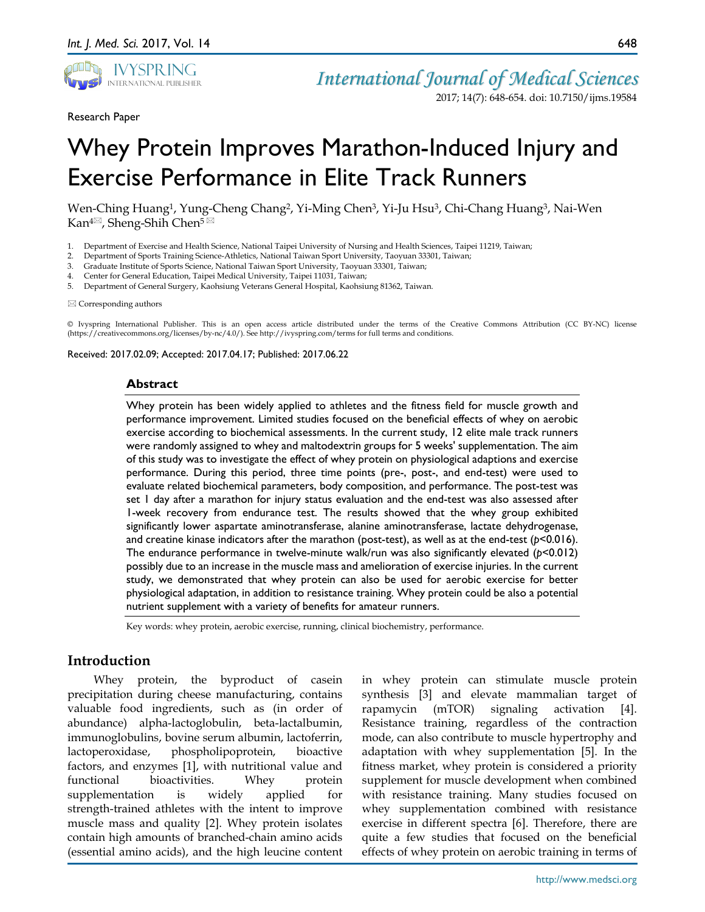

Research Paper

2017; 14(7): 648-654. doi: 10.7150/ijms.19584

# Whey Protein Improves Marathon-Induced Injury and Exercise Performance in Elite Track Runners

Wen-Ching Huang<sup>1</sup>, Yung-Cheng Chang<sup>2</sup>, Yi-Ming Chen<sup>3</sup>, Yi-Ju Hsu<sup>3</sup>, Chi-Chang Huang<sup>3</sup>, Nai-Wen Kan<sup>4 $\boxtimes$ </sup>, Sheng-Shih Chen<sup>5 $\boxtimes$ </sup>

- 1. Department of Exercise and Health Science, National Taipei University of Nursing and Health Sciences, Taipei 11219, Taiwan;
- 2. Department of Sports Training Science-Athletics, National Taiwan Sport University, Taoyuan 33301, Taiwan;
- 3. Graduate Institute of Sports Science, National Taiwan Sport University, Taoyuan 33301, Taiwan;
- 4. Center for General Education, Taipei Medical University, Taipei 11031, Taiwan;
- 5. Department of General Surgery, Kaohsiung Veterans General Hospital, Kaohsiung 81362, Taiwan.

 $\boxtimes$  Corresponding authors

© Ivyspring International Publisher. This is an open access article distributed under the terms of the Creative Commons Attribution (CC BY-NC) license (https://creativecommons.org/licenses/by-nc/4.0/). See http://ivyspring.com/terms for full terms and conditions.

Received: 2017.02.09; Accepted: 2017.04.17; Published: 2017.06.22

#### **Abstract**

Whey protein has been widely applied to athletes and the fitness field for muscle growth and performance improvement. Limited studies focused on the beneficial effects of whey on aerobic exercise according to biochemical assessments. In the current study, 12 elite male track runners were randomly assigned to whey and maltodextrin groups for 5 weeks' supplementation. The aim of this study was to investigate the effect of whey protein on physiological adaptions and exercise performance. During this period, three time points (pre-, post-, and end-test) were used to evaluate related biochemical parameters, body composition, and performance. The post-test was set 1 day after a marathon for injury status evaluation and the end-test was also assessed after 1-week recovery from endurance test. The results showed that the whey group exhibited significantly lower aspartate aminotransferase, alanine aminotransferase, lactate dehydrogenase, and creatine kinase indicators after the marathon (post-test), as well as at the end-test (*p*<0.016). The endurance performance in twelve-minute walk/run was also significantly elevated (*p*<0.012) possibly due to an increase in the muscle mass and amelioration of exercise injuries. In the current study, we demonstrated that whey protein can also be used for aerobic exercise for better physiological adaptation, in addition to resistance training. Whey protein could be also a potential nutrient supplement with a variety of benefits for amateur runners.

Key words: whey protein, aerobic exercise, running, clinical biochemistry, performance.

## **Introduction**

Whey protein, the byproduct of casein precipitation during cheese manufacturing, contains valuable food ingredients, such as (in order of abundance) alpha-lactoglobulin, beta-lactalbumin, immunoglobulins, bovine serum albumin, lactoferrin, lactoperoxidase, phospholipoprotein, bioactive factors, and enzymes [1], with nutritional value and functional bioactivities. Whey protein supplementation is widely applied for strength-trained athletes with the intent to improve muscle mass and quality [2]. Whey protein isolates contain high amounts of branched-chain amino acids (essential amino acids), and the high leucine content

in whey protein can stimulate muscle protein synthesis [3] and elevate mammalian target of rapamycin (mTOR) signaling activation [4]. Resistance training, regardless of the contraction mode, can also contribute to muscle hypertrophy and adaptation with whey supplementation [5]. In the fitness market, whey protein is considered a priority supplement for muscle development when combined with resistance training. Many studies focused on whey supplementation combined with resistance exercise in different spectra [6]. Therefore, there are quite a few studies that focused on the beneficial effects of whey protein on aerobic training in terms of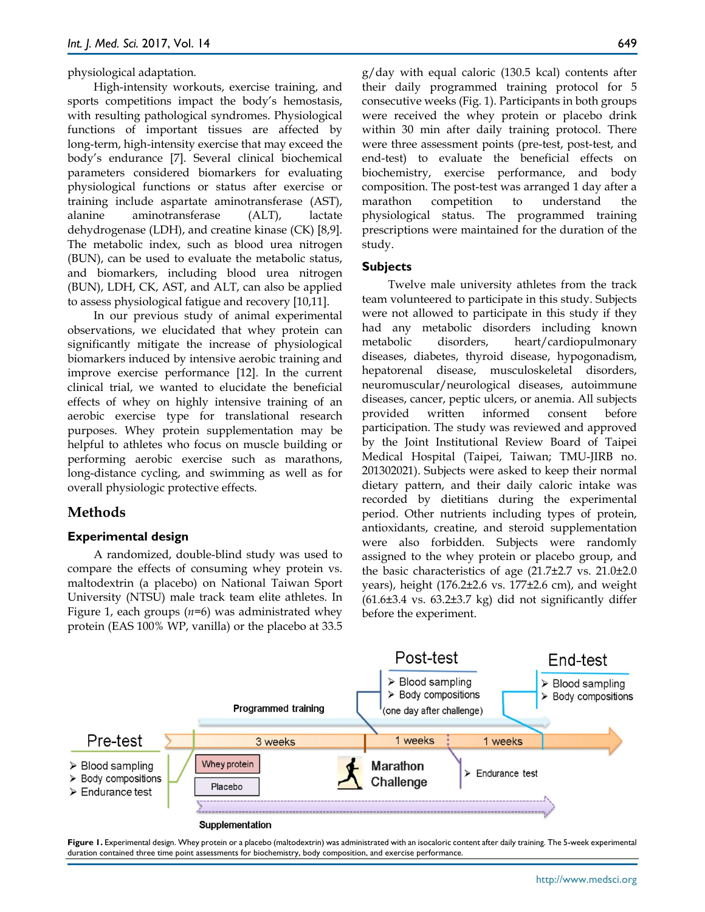physiological adaptation.

High-intensity workouts, exercise training, and sports competitions impact the body's hemostasis, with resulting pathological syndromes. Physiological functions of important tissues are affected by long-term, high-intensity exercise that may exceed the body's endurance [7]. Several clinical biochemical parameters considered biomarkers for evaluating physiological functions or status after exercise or training include aspartate aminotransferase (AST), alanine aminotransferase (ALT), lactate dehydrogenase (LDH), and creatine kinase (CK) [8,9]. The metabolic index, such as blood urea nitrogen (BUN), can be used to evaluate the metabolic status, and biomarkers, including blood urea nitrogen (BUN), LDH, CK, AST, and ALT, can also be applied to assess physiological fatigue and recovery [10,11].

In our previous study of animal experimental observations, we elucidated that whey protein can significantly mitigate the increase of physiological biomarkers induced by intensive aerobic training and improve exercise performance [12]. In the current clinical trial, we wanted to elucidate the beneficial effects of whey on highly intensive training of an aerobic exercise type for translational research purposes. Whey protein supplementation may be helpful to athletes who focus on muscle building or performing aerobic exercise such as marathons, long-distance cycling, and swimming as well as for overall physiologic protective effects.

## **Methods**

## **Experimental design**

A randomized, double-blind study was used to compare the effects of consuming whey protein vs. maltodextrin (a placebo) on National Taiwan Sport University (NTSU) male track team elite athletes. In Figure 1, each groups (*n*=6) was administrated whey protein (EAS 100% WP, vanilla) or the placebo at 33.5

g/day with equal caloric (130.5 kcal) contents after their daily programmed training protocol for 5 consecutive weeks (Fig. 1). Participants in both groups were received the whey protein or placebo drink within 30 min after daily training protocol. There were three assessment points (pre-test, post-test, and end-test) to evaluate the beneficial effects on biochemistry, exercise performance, and body composition. The post-test was arranged 1 day after a marathon competition to understand the physiological status. The programmed training prescriptions were maintained for the duration of the study.

## **Subjects**

Twelve male university athletes from the track team volunteered to participate in this study. Subjects were not allowed to participate in this study if they had any metabolic disorders including known metabolic disorders, heart/cardiopulmonary diseases, diabetes, thyroid disease, hypogonadism, hepatorenal disease, musculoskeletal disorders, neuromuscular/neurological diseases, autoimmune diseases, cancer, peptic ulcers, or anemia. All subjects provided written informed consent before participation. The study was reviewed and approved by the Joint Institutional Review Board of Taipei Medical Hospital (Taipei, Taiwan; TMU-JIRB no. 201302021). Subjects were asked to keep their normal dietary pattern, and their daily caloric intake was recorded by dietitians during the experimental period. Other nutrients including types of protein, antioxidants, creatine, and steroid supplementation were also forbidden. Subjects were randomly assigned to the whey protein or placebo group, and the basic characteristics of age (21.7±2.7 vs. 21.0±2.0 years), height (176.2±2.6 vs. 177±2.6 cm), and weight  $(61.6±3.4 \text{ vs. } 63.2±3.7 \text{ kg})$  did not significantly differ before the experiment.



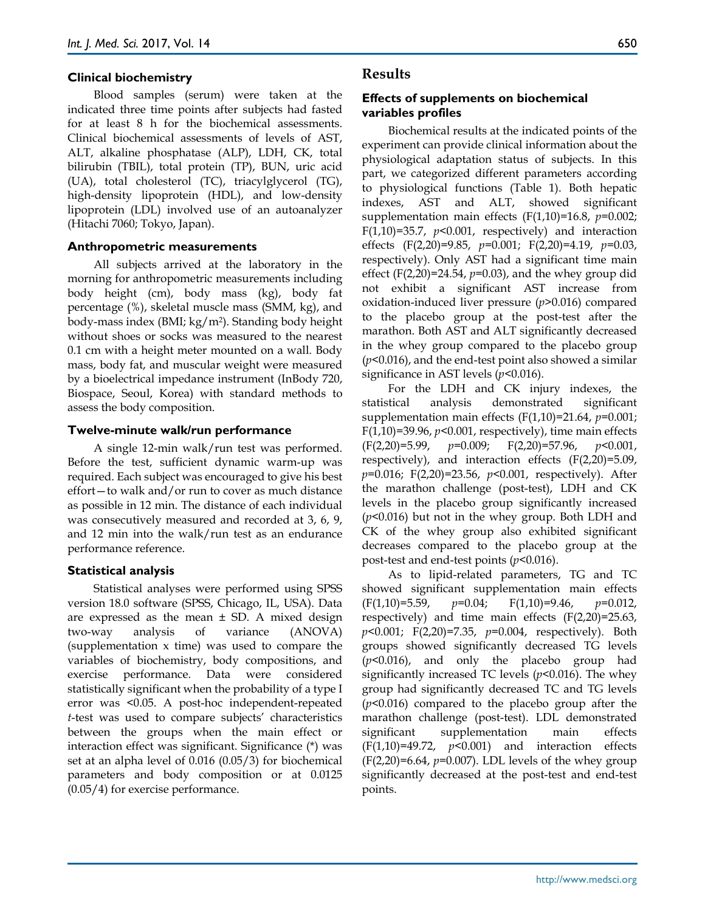### **Clinical biochemistry**

Blood samples (serum) were taken at the indicated three time points after subjects had fasted for at least 8 h for the biochemical assessments. Clinical biochemical assessments of levels of AST, ALT, alkaline phosphatase (ALP), LDH, CK, total bilirubin (TBIL), total protein (TP), BUN, uric acid (UA), total cholesterol (TC), triacylglycerol (TG), high-density lipoprotein (HDL), and low-density lipoprotein (LDL) involved use of an autoanalyzer (Hitachi 7060; Tokyo, Japan).

### **Anthropometric measurements**

All subjects arrived at the laboratory in the morning for anthropometric measurements including body height (cm), body mass (kg), body fat percentage (%), skeletal muscle mass (SMM, kg), and body-mass index (BMI; kg/m2). Standing body height without shoes or socks was measured to the nearest 0.1 cm with a height meter mounted on a wall. Body mass, body fat, and muscular weight were measured by a bioelectrical impedance instrument (InBody 720, Biospace, Seoul, Korea) with standard methods to assess the body composition.

#### **Twelve-minute walk/run performance**

A single 12-min walk/run test was performed. Before the test, sufficient dynamic warm-up was required. Each subject was encouraged to give his best effort—to walk and/or run to cover as much distance as possible in 12 min. The distance of each individual was consecutively measured and recorded at 3, 6, 9, and 12 min into the walk/run test as an endurance performance reference.

### **Statistical analysis**

Statistical analyses were performed using SPSS version 18.0 software (SPSS, Chicago, IL, USA). Data are expressed as the mean  $\pm$  SD. A mixed design two-way analysis of variance (ANOVA) (supplementation x time) was used to compare the variables of biochemistry, body compositions, and exercise performance. Data were considered statistically significant when the probability of a type I error was <0.05. A post-hoc independent-repeated *t*-test was used to compare subjects' characteristics between the groups when the main effect or interaction effect was significant. Significance (\*) was set at an alpha level of 0.016 (0.05/3) for biochemical parameters and body composition or at 0.0125 (0.05/4) for exercise performance.

## **Results**

## **Effects of supplements on biochemical variables profiles**

Biochemical results at the indicated points of the experiment can provide clinical information about the physiological adaptation status of subjects. In this part, we categorized different parameters according to physiological functions (Table 1). Both hepatic indexes, AST and ALT, showed significant supplementation main effects (F(1,10)=16.8, *p*=0.002; F(1,10)=35.7,  $p<0.001$ , respectively) and interaction effects (F(2,20)=9.85, *p*=0.001; F(2,20)=4.19, *p*=0.03, respectively). Only AST had a significant time main effect (F(2,20)=24.54, *p*=0.03), and the whey group did not exhibit a significant AST increase from oxidation-induced liver pressure (*p*>0.016) compared to the placebo group at the post-test after the marathon. Both AST and ALT significantly decreased in the whey group compared to the placebo group (*p*<0.016), and the end-test point also showed a similar significance in AST levels (*p*<0.016).

For the LDH and CK injury indexes, the statistical analysis demonstrated significant supplementation main effects (F(1,10)=21.64, *p*=0.001; F(1,10)=39.96, *p*<0.001, respectively), time main effects (F(2,20)=5.99, *p*=0.009; F(2,20)=57.96, *p*<0.001, respectively), and interaction effects (F(2,20)=5.09, *p*=0.016; F(2,20)=23.56, *p*<0.001, respectively). After the marathon challenge (post-test), LDH and CK levels in the placebo group significantly increased (*p*<0.016) but not in the whey group. Both LDH and CK of the whey group also exhibited significant decreases compared to the placebo group at the post-test and end-test points (*p*<0.016).

As to lipid-related parameters, TG and TC showed significant supplementation main effects (F(1,10)=5.59, *p*=0.04; F(1,10)=9.46, *p*=0.012, respectively) and time main effects (F(2,20)=25.63, *p*<0.001; F(2,20)=7.35, *p*=0.004, respectively). Both groups showed significantly decreased TG levels (*p*<0.016), and only the placebo group had significantly increased TC levels (*p*<0.016). The whey group had significantly decreased TC and TG levels (*p*<0.016) compared to the placebo group after the marathon challenge (post-test). LDL demonstrated significant supplementation main effects (F(1,10)=49.72, *p*<0.001) and interaction effects (F(2,20)=6.64, *p*=0.007). LDL levels of the whey group significantly decreased at the post-test and end-test points.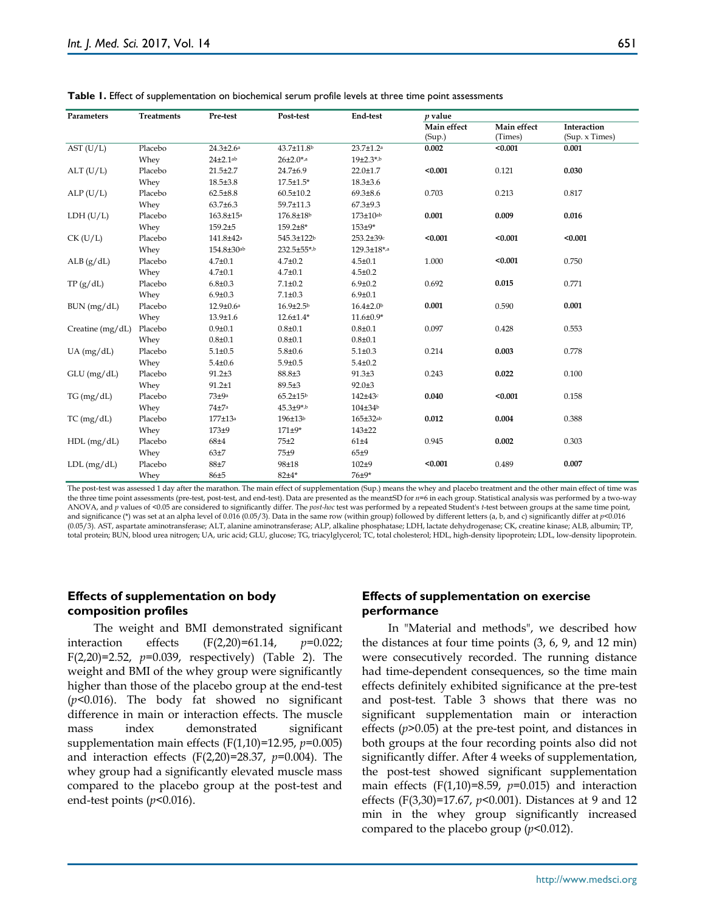| Parameters       | <b>Treatments</b> | Pre-test               | Post-test              | End-test               | $p$ value   |             |                |
|------------------|-------------------|------------------------|------------------------|------------------------|-------------|-------------|----------------|
|                  |                   |                        |                        |                        | Main effect | Main effect | Interaction    |
|                  |                   |                        |                        |                        | (Sup.)      | (Times)     | (Sup. x Times) |
| AST (U/L)        | Placebo           | $24.3 \pm 2.6^{\rm a}$ | 43.7±11.8b             | $23.7 \pm 1.2^a$       | 0.002       | < 0.001     | 0.001          |
|                  | Whey              | $24 \pm 2.1$ ab        | $26 \pm 2.0$ *,a       | $19{\pm}2.3^{*,b}$     |             |             |                |
| ALT (U/L)        | Placebo           | $21.5 \pm 2.7$         | 24.7±6.9               | $22.0 \pm 1.7$         | < 0.001     | 0.121       | 0.030          |
|                  | Whey              | $18.5 \pm 3.8$         | $17.5 \pm 1.5^*$       | $18.3{\pm}3.6$         |             |             |                |
| ALP(U/L)         | Placebo           | $62.5 \pm 8.8$         | $60.5 \pm 10.2$        | $69.3 \pm 8.6$         | 0.703       | 0.213       | 0.817          |
|                  | Whey              | $63.7 \pm 6.3$         | 59.7±11.3              | $67.3{\pm}9.3$         |             |             |                |
| LDH (U/L)        | Placebo           | $163.8 \pm 15^{\circ}$ | 176.8±18b              | $173\pm10$ ab          | 0.001       | 0.009       | 0.016          |
|                  | Whey              | 159.2±5                | $159.2\pm8*$           | $153 + 9*$             |             |             |                |
| $CK$ (U/L)       | Placebo           | 141.8±42 <sup>a</sup>  | 545.3±122b             | $253.2 \pm 39$ c       | < 0.001     | < 0.001     | < 0.001        |
|                  | Whey              | 154.8±30ab             | 232.5±55*,b            | 129.3±18*,a            |             |             |                |
| ALB(g/dL)        | Placebo           | $4.7 + 0.1$            | $4.7 + 0.2$            | $4.5 \pm 0.1$          | 1.000       | < 0.001     | 0.750          |
|                  | Whey              | $4.7 \pm 0.1$          | $4.7 \pm 0.1$          | $4.5 \pm 0.2$          |             |             |                |
| TP(g/dL)         | Placebo           | $6.8{\pm}0.3$          | $7.1 \pm 0.2$          | $6.9 \pm 0.2$          | 0.692       | 0.015       | 0.771          |
|                  | Whey              | $6.9 \pm 0.3$          | $7.1 \pm 0.3$          | $6.9 + 0.1$            |             |             |                |
| BUN (mg/dL)      | Placebo           | 12.9±0.6 <sup>a</sup>  | $16.9{\pm}2.5^{\rm b}$ | $16.4{\pm}2.0^{\rm b}$ | 0.001       | 0.590       | 0.001          |
|                  | Whey              | 13.9±1.6               | $12.6{\pm}1.4*$        | $11.6 \pm 0.9*$        |             |             |                |
| Creatine (mg/dL) | Placebo           | $0.9 + 0.1$            | $0.8 + 0.1$            | $0.8 + 0.1$            | 0.097       | 0.428       | 0.553          |
|                  | Whey              | $0.8 + 0.1$            | $0.8 + 0.1$            | $0.8 + 0.1$            |             |             |                |
| $UA$ (mg/dL)     | Placebo           | $5.1 + 0.5$            | $5.8 + 0.6$            | $5.1 \pm 0.3$          | 0.214       | 0.003       | 0.778          |
|                  | Whey              | $5.4 + 0.6$            | $5.9 \pm 0.5$          | $5.4 \pm 0.2$          |             |             |                |
| $GLU$ (mg/dL)    | Placebo           | $91.2 + 3$             | 88.8±3                 | $91.3 + 3$             | 0.243       | 0.022       | 0.100          |
|                  | Whey              | $91.2 + 1$             | $89.5+3$               | $92.0 + 3$             |             |             |                |
| TG (mg/dL)       | Placebo           | $73 \pm 9a$            | $65.2 \pm 15^{\circ}$  | $142\pm43$ c           | 0.040       | < 0.001     | 0.158          |
|                  | Whey              | $74\pm 7a$             | $45.3 \pm 9$ *,b       | 104±34b                |             |             |                |
| TC (mg/dL)       | Placebo           | $177 + 13a$            | $196 \pm 13^b$         | $165 \pm 32$ ab        | 0.012       | 0.004       | 0.388          |
|                  | Whey              | $173 + 9$              | $171 + 9*$             | 143±22                 |             |             |                |
| $HDL$ (mg/dL)    | Placebo           | $68\pm4$               | 75±2                   | $61\pm4$               | 0.945       | 0.002       | 0.303          |
|                  | Whey              | 63±7                   | 75±9                   | 65±9                   |             |             |                |
| $LDL$ (mg/dL)    | Placebo           | 88±7                   | 98±18                  | $102+9$                | $0.001$     | 0.489       | 0.007          |
|                  | Whey              | 86±5                   | $82 + 4*$              | 76±9*                  |             |             |                |

|  | Table 1. Effect of supplementation on biochemical serum profile levels at three time point assessments |
|--|--------------------------------------------------------------------------------------------------------|
|--|--------------------------------------------------------------------------------------------------------|

The post-test was assessed 1 day after the marathon. The main effect of supplementation (Sup.) means the whey and placebo treatment and the other main effect of time was the three time point assessments (pre-test, post-test, and end-test). Data are presented as the mean±SD for *n*=6 in each group. Statistical analysis was performed by a two-way ANOVA, and *p* values of <0.05 are considered to significantly differ. The *post-hoc* test was performed by a repeated Student's *t*-test between groups at the same time point, and significance (\*) was set at an alpha level of 0.016 (0.05/3). Data in the same row (within group) followed by different letters (a, b, and c) significantly differ at *p*<0.016 (0.05/3). AST, aspartate aminotransferase; ALT, alanine aminotransferase; ALP, alkaline phosphatase; LDH, lactate dehydrogenase; CK, creatine kinase; ALB, albumin; TP, total protein; BUN, blood urea nitrogen; UA, uric acid; GLU, glucose; TG, triacylglycerol; TC, total cholesterol; HDL, high-density lipoprotein; LDL, low-density lipoprotein.

## **Effects of supplementation on body composition profiles**

The weight and BMI demonstrated significant interaction effects (F(2,20)=61.14, *p*=0.022; F(2,20)=2.52, *p*=0.039, respectively) (Table 2). The weight and BMI of the whey group were significantly higher than those of the placebo group at the end-test (*p*<0.016). The body fat showed no significant difference in main or interaction effects. The muscle mass index demonstrated significant supplementation main effects (F(1,10)=12.95, *p*=0.005) and interaction effects (F(2,20)=28.37, *p*=0.004). The whey group had a significantly elevated muscle mass compared to the placebo group at the post-test and end-test points (*p*<0.016).

## **Effects of supplementation on exercise performance**

In "Material and methods", we described how the distances at four time points (3, 6, 9, and 12 min) were consecutively recorded. The running distance had time-dependent consequences, so the time main effects definitely exhibited significance at the pre-test and post-test. Table 3 shows that there was no significant supplementation main or interaction effects (*p*>0.05) at the pre-test point, and distances in both groups at the four recording points also did not significantly differ. After 4 weeks of supplementation, the post-test showed significant supplementation main effects (F(1,10)=8.59, *p*=0.015) and interaction effects (F(3,30)=17.67, *p*<0.001). Distances at 9 and 12 min in the whey group significantly increased compared to the placebo group (*p*<0.012).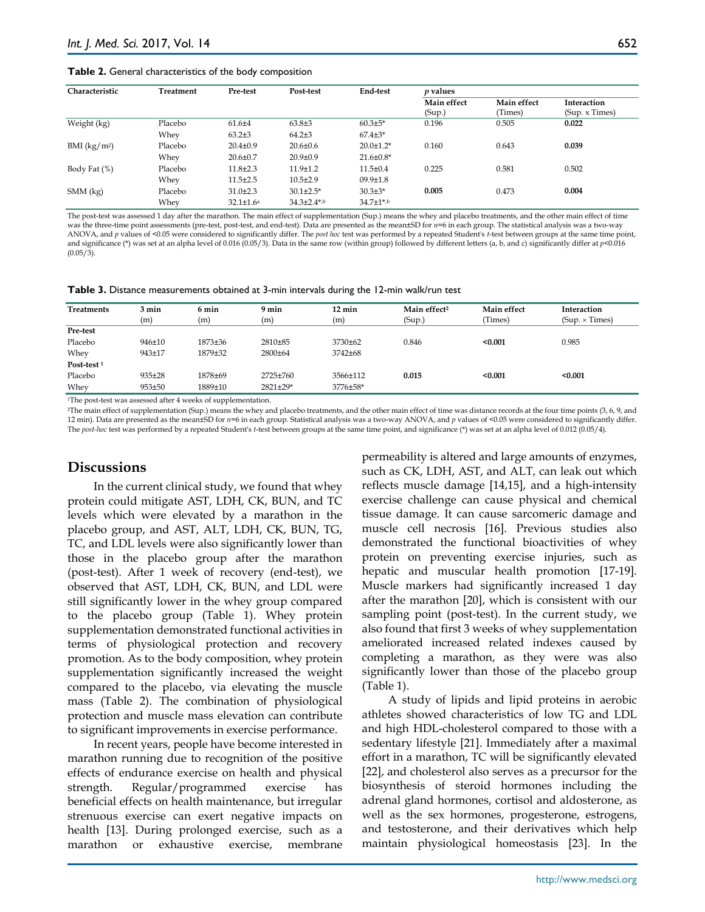| Table 2. General characteristics of the body composition |  |
|----------------------------------------------------------|--|
|----------------------------------------------------------|--|

| Characteristic           | Treatment | Pre-test               | Post-test            | End-test         | $p$ values            |                       |                               |
|--------------------------|-----------|------------------------|----------------------|------------------|-----------------------|-----------------------|-------------------------------|
|                          |           |                        |                      |                  | Main effect<br>(Sup.) | Main effect<br>Times) | Interaction<br>(Sup. x Times) |
| Weight (kg)              | Placebo   | $61.6 + 4$             | $63.8{\pm}3$         | $60.3{\pm}5*$    | 0.196                 | 0.505                 | 0.022                         |
|                          | Whey      | $63.2+3$               | $64.2{\pm}3$         | $67.4\pm3*$      |                       |                       |                               |
| BMI (kg/m <sup>2</sup> ) | Placebo   | $20.4 \pm 0.9$         | $20.6 \pm 0.6$       | $20.0 \pm 1.2^*$ | 0.160                 | 0.643                 | 0.039                         |
|                          | Whey      | $20.6 \pm 0.7$         | $20.9 \pm 0.9$       | $21.6 \pm 0.8^*$ |                       |                       |                               |
| Body Fat (%)             | Placebo   | $11.8 \pm 2.3$         | $11.9 \pm 1.2$       | $11.5 \pm 0.4$   | 0.225                 | 0.581                 | 0.502                         |
|                          | Whey      | $11.5 \pm 2.5$         | $10.5 \pm 2.9$       | $09.9 \pm 1.8$   |                       |                       |                               |
| $SMM$ (kg)               | Placebo   | $31.0 \pm 2.3$         | $30.1 \pm 2.5^*$     | $30.3 \pm 3*$    | 0.005                 | 0.473                 | 0.004                         |
|                          | Whey      | $32.1 \pm 1.6^{\circ}$ | $34.3{\pm}2.4^{*,b}$ | $34.7 \pm 1$ *,b |                       |                       |                               |

The post-test was assessed 1 day after the marathon. The main effect of supplementation (Sup.) means the whey and placebo treatments, and the other main effect of time was the three-time point assessments (pre-test, post-test, and end-test). Data are presented as the mean±SD for  $n=6$  in each group. The statistical analysis was a two-way ANOVA, and *p* values of <0.05 were considered to significantly differ. The *post hoc* test was performed by a repeated Student's *t*-test between groups at the same time point, and significance (\*) was set at an alpha level of 0.016 (0.05/3). Data in the same row (within group) followed by different letters (a, b, and c) significantly differ at *p*<0.016  $(0.05/3)$ 

**Table 3.** Distance measurements obtained at 3-min intervals during the 12-min walk/run test

| 3 min      | 6 min       | 9 min           | $12 \text{ min}$<br>(m) | Main effect <sup>2</sup> | <b>Main effect</b><br>(Times) | Interaction<br>$(Sup. \times Times)$ |
|------------|-------------|-----------------|-------------------------|--------------------------|-------------------------------|--------------------------------------|
|            |             |                 |                         |                          |                               |                                      |
| 946±10     | $1873 + 36$ | 2810±85         | 3730±62                 | 0.846                    | < 0.001                       | 0.985                                |
| 943±17     | 1879±32     | $2800 \pm 64$   | 3742±68                 |                          |                               |                                      |
|            |             |                 |                         |                          |                               |                                      |
| $935 + 28$ | 1878±69     | 2725±760        | 3566±112                | 0.015                    | < 0.001                       | < 0.001                              |
| 953±50     | 1889±10     | $2821 \pm 29$ * | 3776±58*                |                          |                               |                                      |
|            | (m)         | (m)             | (m)                     |                          | (Sup.)                        |                                      |

<sup>1</sup>The post-test was assessed after 4 weeks of supplementation.

2The main effect of supplementation (Sup.) means the whey and placebo treatments, and the other main effect of time was distance records at the four time points (3, 6, 9, and 12 min). Data are presented as the mean±SD for *n*=6 in each group. Statistical analysis was a two-way ANOVA, and *p* values of <0.05 were considered to significantly differ. The *post-hoc* test was performed by a repeated Student's *t*-test between groups at the same time point, and significance (\*) was set at an alpha level of 0.012 (0.05/4).

## **Discussions**

In the current clinical study, we found that whey protein could mitigate AST, LDH, CK, BUN, and TC levels which were elevated by a marathon in the placebo group, and AST, ALT, LDH, CK, BUN, TG, TC, and LDL levels were also significantly lower than those in the placebo group after the marathon (post-test). After 1 week of recovery (end-test), we observed that AST, LDH, CK, BUN, and LDL were still significantly lower in the whey group compared to the placebo group (Table 1). Whey protein supplementation demonstrated functional activities in terms of physiological protection and recovery promotion. As to the body composition, whey protein supplementation significantly increased the weight compared to the placebo, via elevating the muscle mass (Table 2). The combination of physiological protection and muscle mass elevation can contribute to significant improvements in exercise performance.

In recent years, people have become interested in marathon running due to recognition of the positive effects of endurance exercise on health and physical strength. Regular/programmed exercise has beneficial effects on health maintenance, but irregular strenuous exercise can exert negative impacts on health [13]. During prolonged exercise, such as a marathon or exhaustive exercise, membrane permeability is altered and large amounts of enzymes, such as CK, LDH, AST, and ALT, can leak out which reflects muscle damage [14,15], and a high-intensity exercise challenge can cause physical and chemical tissue damage. It can cause sarcomeric damage and muscle cell necrosis [16]. Previous studies also demonstrated the functional bioactivities of whey protein on preventing exercise injuries, such as hepatic and muscular health promotion [17-19]. Muscle markers had significantly increased 1 day after the marathon [20], which is consistent with our sampling point (post-test). In the current study, we also found that first 3 weeks of whey supplementation ameliorated increased related indexes caused by completing a marathon, as they were was also significantly lower than those of the placebo group (Table 1).

A study of lipids and lipid proteins in aerobic athletes showed characteristics of low TG and LDL and high HDL-cholesterol compared to those with a sedentary lifestyle [21]. Immediately after a maximal effort in a marathon, TC will be significantly elevated [22], and cholesterol also serves as a precursor for the biosynthesis of steroid hormones including the adrenal gland hormones, cortisol and aldosterone, as well as the sex hormones, progesterone, estrogens, and testosterone, and their derivatives which help maintain physiological homeostasis [23]. In the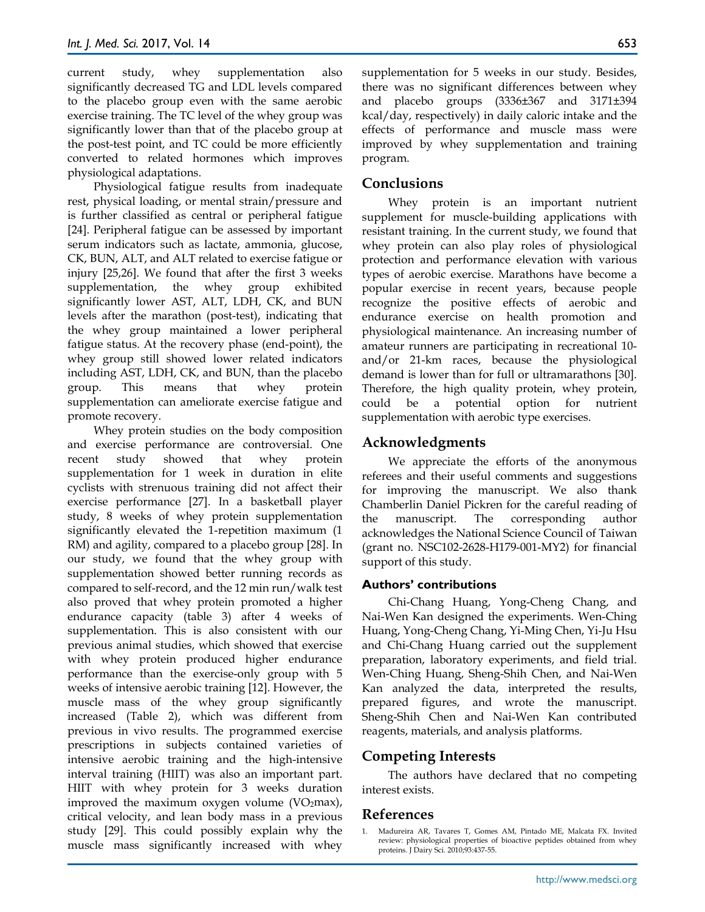current study, whey supplementation also significantly decreased TG and LDL levels compared to the placebo group even with the same aerobic exercise training. The TC level of the whey group was significantly lower than that of the placebo group at the post-test point, and TC could be more efficiently converted to related hormones which improves physiological adaptations.

Physiological fatigue results from inadequate rest, physical loading, or mental strain/pressure and is further classified as central or peripheral fatigue [24]. Peripheral fatigue can be assessed by important serum indicators such as lactate, ammonia, glucose, CK, BUN, ALT, and ALT related to exercise fatigue or injury [25,26]. We found that after the first 3 weeks supplementation, the whey group exhibited significantly lower AST, ALT, LDH, CK, and BUN levels after the marathon (post-test), indicating that the whey group maintained a lower peripheral fatigue status. At the recovery phase (end-point), the whey group still showed lower related indicators including AST, LDH, CK, and BUN, than the placebo group. This means that whey protein supplementation can ameliorate exercise fatigue and promote recovery.

Whey protein studies on the body composition and exercise performance are controversial. One recent study showed that whey protein supplementation for 1 week in duration in elite cyclists with strenuous training did not affect their exercise performance [27]. In a basketball player study, 8 weeks of whey protein supplementation significantly elevated the 1-repetition maximum (1 RM) and agility, compared to a placebo group [28]. In our study, we found that the whey group with supplementation showed better running records as compared to self-record, and the 12 min run/walk test also proved that whey protein promoted a higher endurance capacity (table 3) after 4 weeks of supplementation. This is also consistent with our previous animal studies, which showed that exercise with whey protein produced higher endurance performance than the exercise-only group with 5 weeks of intensive aerobic training [12]. However, the muscle mass of the whey group significantly increased (Table 2), which was different from previous in vivo results. The programmed exercise prescriptions in subjects contained varieties of intensive aerobic training and the high-intensive interval training (HIIT) was also an important part. HIIT with whey protein for 3 weeks duration improved the maximum oxygen volume  $(VO<sub>2</sub>max)$ , critical velocity, and lean body mass in a previous study [29]. This could possibly explain why the muscle mass significantly increased with whey

supplementation for 5 weeks in our study. Besides, there was no significant differences between whey and placebo groups (3336±367 and 3171±394 kcal/day, respectively) in daily caloric intake and the effects of performance and muscle mass were improved by whey supplementation and training program.

# **Conclusions**

Whey protein is an important nutrient supplement for muscle-building applications with resistant training. In the current study, we found that whey protein can also play roles of physiological protection and performance elevation with various types of aerobic exercise. Marathons have become a popular exercise in recent years, because people recognize the positive effects of aerobic and endurance exercise on health promotion and physiological maintenance. An increasing number of amateur runners are participating in recreational 10 and/or 21-km races, because the physiological demand is lower than for full or ultramarathons [30]. Therefore, the high quality protein, whey protein, could be a potential option for nutrient supplementation with aerobic type exercises.

# **Acknowledgments**

We appreciate the efforts of the anonymous referees and their useful comments and suggestions for improving the manuscript. We also thank Chamberlin Daniel Pickren for the careful reading of the manuscript. The corresponding author acknowledges the National Science Council of Taiwan (grant no. NSC102-2628-H179-001-MY2) for financial support of this study.

# **Authors' contributions**

Chi-Chang Huang, Yong-Cheng Chang, and Nai-Wen Kan designed the experiments. Wen-Ching Huang, Yong-Cheng Chang, Yi-Ming Chen, Yi-Ju Hsu and Chi-Chang Huang carried out the supplement preparation, laboratory experiments, and field trial. Wen-Ching Huang, Sheng-Shih Chen, and Nai-Wen Kan analyzed the data, interpreted the results, prepared figures, and wrote the manuscript. Sheng-Shih Chen and Nai-Wen Kan contributed reagents, materials, and analysis platforms.

# **Competing Interests**

The authors have declared that no competing interest exists.

# **References**

1. Madureira AR, Tavares T, Gomes AM, Pintado ME, Malcata FX. Invited review: physiological properties of bioactive peptides obtained from whey proteins. J Dairy Sci. 2010;93:437-55.